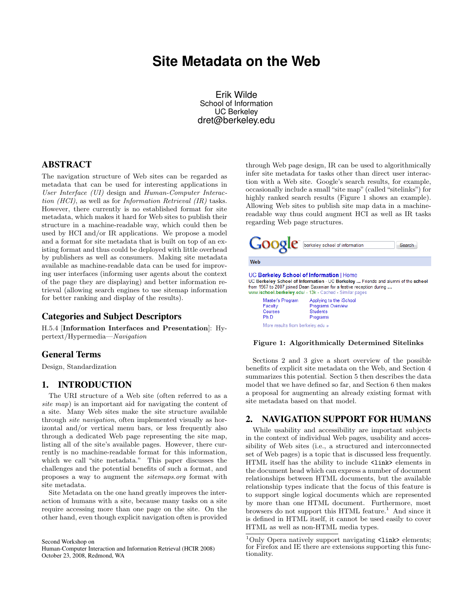# <span id="page-0-0"></span>**Site Metadata on the Web**

Erik Wilde School of Information UC Berkeley dret@berkeley.edu

## ABSTRACT

The navigation structure of Web sites can be regarded as metadata that can be used for interesting applications in User Interface (UI) design and Human-Computer Interaction (HCI), as well as for Information Retrieval (IR) tasks. However, there currently is no established format for site metadata, which makes it hard for Web sites to publish their structure in a machine-readable way, which could then be used by HCI and/or IR applications. We propose a model and a format for site metadata that is built on top of an existing format and thus could be deployed with little overhead by publishers as well as consumers. Making site metadata available as machine-readable data can be used for improving user interfaces (informing user agents about the context of the page they are displaying) and better information retrieval (allowing search engines to use sitemap information for better ranking and display of the results).

#### Categories and Subject Descriptors

H.5.4 [Information Interfaces and Presentation]: Hypertext/Hypermedia—Navigation

#### General Terms

Design, Standardization

#### 1. INTRODUCTION

The URI structure of a Web site (often referred to as a site map) is an important aid for navigating the content of a site. Many Web sites make the site structure available through site navigation, often implemented visually as horizontal and/or vertical menu bars, or less frequently also through a dedicated Web page representing the site map, listing all of the site's available pages. However, there currently is no machine-readable format for this information, which we call "site metadata." This paper discusses the challenges and the potential benefits of such a format, and proposes a way to augment the sitemaps.org format with site metadata.

Site Metadata on the one hand greatly improves the interaction of humans with a site, because many tasks on a site require accessing more than one page on the site. On the other hand, even though explicit navigation often is provided

Second Workshop on Human-Computer Interaction and Information Retrieval (HCIR 2008) October 23, 2008, Redmond, WA

through Web page design, IR can be used to algorithmically infer site metadata for tasks other than direct user interaction with a Web site. Google's search results, for example, occasionally include a small "site map" (called "sitelinks") for highly ranked search results (Figure 1 shows an example). Allowing Web sites to publish site map data in a machinereadable way thus could augment HCI as well as IR tasks regarding Web page structures.



#### Figure 1: Algorithmically Determined Sitelinks

Sections 2 and [3](#page-1-0) give a short overview of the possible benefits of explicit site metadata on the Web, and Section [4](#page-1-0) summarizes this potential. Section [5](#page-2-0) then describes the data model that we have defined so far, and Section [6](#page-3-0) then makes a proposal for augmenting an already existing format with site metadata based on that model.

#### 2. NAVIGATION SUPPORT FOR HUMANS

While usability and accessibility are important subjects in the context of individual Web pages, usability and accessibility of Web sites (i.e., a structured and interconnected set of Web pages) is a topic that is discussed less frequently. HTML itself has the ability to include <link> elements in the document head which can express a number of document relationships between HTML documents, but the available relationship types indicate that the focus of this feature is to support single logical documents which are represented by more than one HTML document. Furthermore, most browsers do not support this HTML feature.<sup>1</sup> And since it is defined in HTML itself, it cannot be used easily to cover HTML as well as non-HTML media types.

 $^1\mathrm{Only}$  Opera natively support navigating  $\texttt{1ink>}$  elements; for Firefox and IE there are extensions supporting this functionality.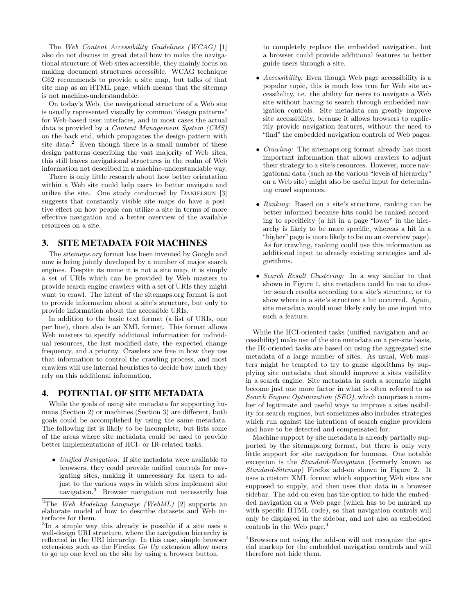<span id="page-1-0"></span>The Web Content Accessibility Guidelines (WCAG) [\[1\]](#page-3-0) also do not discuss in great detail how to make the navigational structure of Web sites accessible, they mainly focus on making document structures accessible. WCAG technique G62 recommends to provide a site map, but talks of that site map as an HTML page, which means that the sitemap is not machine-understandable.

On today's Web, the navigational structure of a Web site is usually represented visually by common "design patterns" for Web-based user interfaces, and in most cases the actual data is provided by a Content Management System (CMS) on the back end, which propagates the design pattern with site data.<sup>2</sup> Even though there is a small number of these design patterns describing the vast majority of Web sites, this still leaves navigational structures in the realm of Web information not described in a machine-understandable way.

There is only little research about how better orientation within a Web site could help users to better navigate and utilize the site. One study conducted by DANIELSON [\[3\]](#page-3-0) suggests that constantly visible site maps do have a positive effect on how people can utilize a site in terms of more effective navigation and a better overview of the available resources on a site.

#### 3. SITE METADATA FOR MACHINES

The *sitemaps.org* format has been invented by Google and now is being jointly developed by a number of major search engines. Despite its name it is not a site map, it is simply a set of URIs which can be provided by Web masters to provide search engine crawlers with a set of URIs they might want to crawl. The intent of the sitemaps.org format is not to provide information about a site's structure, but only to provide information about the accessible URIs.

In addition to the basic text format (a list of URIs, one per line), there also is an XML format. This format allows Web masters to specify additional information for individual resources, the last modified date, the expected change frequency, and a priority. Crawlers are free in how they use that information to control the crawling process, and most crawlers will use internal heuristics to decide how much they rely on this additional information.

#### 4. POTENTIAL OF SITE METADATA

While the goals of using site metadata for supporting humans (Section [2\)](#page-0-0) or machines (Section 3) are different, both goals could be accomplished by using the same metadata. The following list is likely to be incomplete, but lists some of the areas where site metadata could be used to provide better implementations of HCI- or IR-related tasks.

• Unified Navigation: If site metadata were available to browsers, they could provide unified controls for navigating sites, making it unnecessary for users to adjust to the various ways in which sites implement site navigation.<sup>3</sup> Browser navigation not necessarily has to completely replace the embedded navigation, but a browser could provide additional features to better guide users through a site.

- Accessibility: Even though Web page accessibility is a popular topic, this is much less true for Web site accessibility, i.e. the ability for users to navigate a Web site without having to search through embedded navigation controls. Site metadata can greatly improve site accessibility, because it allows browsers to explicitly provide navigation features, without the need to "find" the embedded navigation controls of Web pages.
- *Crawling:* The sitemaps.org format already has most important information that allows crawlers to adjust their strategy to a site's resources. However, more navigational data (such as the various "levels of hierarchy" on a Web site) might also be useful input for determining crawl sequences.
- Ranking: Based on a site's structure, ranking can be better informed because hits could be ranked according to specificity (a hit in a page "lower" in the hierarchy is likely to be more specific, whereas a hit in a "higher" page is more likely to be on an overview page). As for crawling, ranking could use this information as additional input to already existing strategies and algorithms.
- Search Result Clustering: In a way similar to that shown in Figure [1,](#page-0-0) site metadata could be use to cluster search results according to a site's structure, or to show where in a site's structure a hit occurred. Again, site metadata would most likely only be one input into such a feature.

While the HCI-oriented tasks (unified navigation and accessibility) make use of the site metadata on a per-site basis, the IR-oriented tasks are based on using the aggregated site metadata of a large number of sites. As usual, Web masters might be tempted to try to game algorithms by supplying site metadata that should improve a sites visibility in a search engine. Site metadata in such a scenario might become just one more factor in what is often referred to as Search Engine Optimization (SEO), which comprises a number of legitimate and useful ways to improve a sites usability for search engines, but sometimes also includes strategies which run against the intentions of search engine providers and have to be detected and compensated for.

Machine support by site metadata is already partially supported by the sitemaps.org format, but there is only very little support for site navigation for humans. One notable exception is the Standard-Navigation (formerly known as Standard-Sitemap) Firefox add-on shown in Figure [2.](#page-2-0) It uses a custom XML format which supporting Web sites are supposed to supply, and then uses that data in a browser sidebar. The add-on even has the option to hide the embedded navigation on a Web page (which has to be marked up with specific HTML code), so that navigation controls will only be displayed in the sidebar, and not also as embedded controls in the Web page.<sup>4</sup>

<sup>&</sup>lt;sup>2</sup>The Web Modeling Language (WebML) [\[2\]](#page-3-0) supports an elaborate model of how to describe datasets and Web interfaces for them.

<sup>3</sup> In a simple way this already is possible if a site uses a well-design URI structure, where the navigation hierarchy is reflected in the URI hierarchy. In this case, simple browser extensions such as the Firefox  $Go$  Up extension allow users to go up one level on the site by using a browser button.

<sup>4</sup>Browsers not using the add-on will not recognize the special markup for the embedded navigation controls and will therefore not hide them.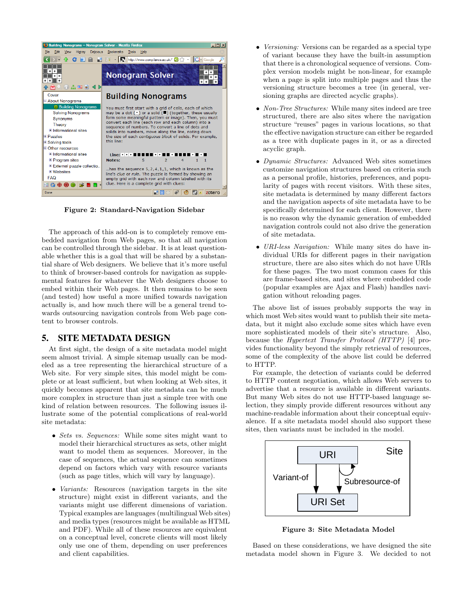<span id="page-2-0"></span>

Figure 2: Standard-Navigation Sidebar

The approach of this add-on is to completely remove embedded navigation from Web pages, so that all navigation can be controlled through the sidebar. It is at least questionable whether this is a goal that will be shared by a substantial share of Web designers. We believe that it's more useful to think of browser-based controls for navigation as supplemental features for whatever the Web designers choose to embed within their Web pages. It then remains to be seen (and tested) how useful a more unified towards navigation actually is, and how much there will be a general trend towards outsourcing navigation controls from Web page content to browser controls.

#### 5. SITE METADATA DESIGN

At first sight, the design of a site metadata model might seem almost trivial. A simple sitemap usually can be modeled as a tree representing the hierarchical structure of a Web site. For very simple sites, this model might be complete or at least sufficient, but when looking at Web sites, it quickly becomes apparent that site metadata can be much more complex in structure than just a simple tree with one kind of relation between resources. The following issues illustrate some of the potential complications of real-world site metadata:

- Sets vs. Sequences: While some sites might want to model their hierarchical structures as sets, other might want to model them as sequences. Moreover, in the case of sequences, the actual sequence can sometimes depend on factors which vary with resource variants (such as page titles, which will vary by language).
- *Variants:* Resources (navigation targets in the site structure) might exist in different variants, and the variants might use different dimensions of variation. Typical examples are languages (multilingual Web sites) and media types (resources might be available as HTML and PDF). While all of these resources are equivalent on a conceptual level, concrete clients will most likely only use one of them, depending on user preferences and client capabilities.
- *Versioning:* Versions can be regarded as a special type of variant because they have the built-in assumption that there is a chronological sequence of versions. Complex version models might be non-linear, for example when a page is split into multiple pages and thus the versioning structure becomes a tree (in general, versioning graphs are directed acyclic graphs).
- Non-Tree Structures: While many sites indeed are tree structured, there are also sites where the navigation structure "reuses" pages in various locations, so that the effective navigation structure can either be regarded as a tree with duplicate pages in it, or as a directed acyclic graph.
- Dynamic Structures: Advanced Web sites sometimes customize navigation structures based on criteria such as a personal profile, histories, preferences, and popularity of pages with recent visitors. With these sites, site metadata is determined by many different factors and the navigation aspects of site metadata have to be specifically determined for each client. However, there is no reason why the dynamic generation of embedded navigation controls could not also drive the generation of site metadata.
- URI-less Navigation: While many sites do have individual URIs for different pages in their navigation structure, there are also sites which do not have URIs for these pages. The two most common cases for this are frame-based sites, and sites where embedded code (popular examples are Ajax and Flash) handles navigation without reloading pages.

The above list of issues probably supports the way in which most Web sites would want to publish their site metadata, but it might also exclude some sites which have even more sophisticated models of their site's structure. Also, because the Hypertext Transfer Protocol (HTTP) [\[4\]](#page-3-0) provides functionality beyond the simply retrieval of resources, some of the complexity of the above list could be deferred to HTTP.

For example, the detection of variants could be deferred to HTTP content negotiation, which allows Web servers to advertise that a resource is available in different variants. But many Web sites do not use HTTP-based language selection, they simply provide different resources without any machine-readable information about their conceptual equivalence. If a site metadata model should also support these sites, then variants must be included in the model.



Figure 3: Site Metadata Model

Based on these considerations, we have designed the site metadata model shown in Figure 3. We decided to not